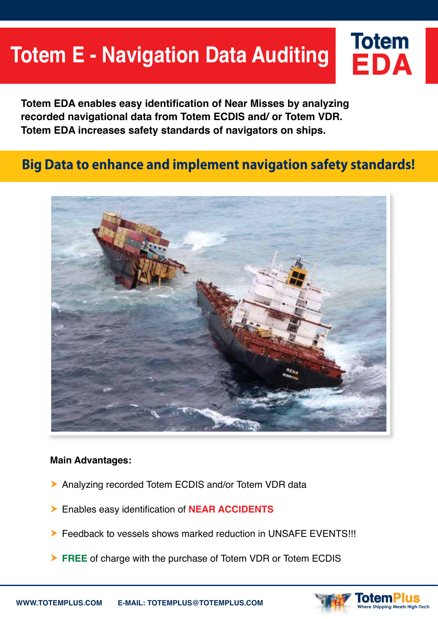# **Totem E - Navigation Data Auditing**

**Totem EDA enables easy identification of Near Misses by analyzing recorded navigational data from Totem ECDIS and/ or Totem VDR. Totem EDA increases safety standards of navigators on ships.** 

# **Big Data to enhance and implement navigation safety standards!**



#### **Main Advantages:**

- Analyzing recorded Totem ECDIS and/or Totem VDR data
- Enables easy identification of **NEAR ACCIDENTS**
- Feedback to vessels shows marked reduction in UNSAFE EVENTS!!!
- **FREE** of charge with the purchase of Totem VDR or Totem ECDIS



**EDA**